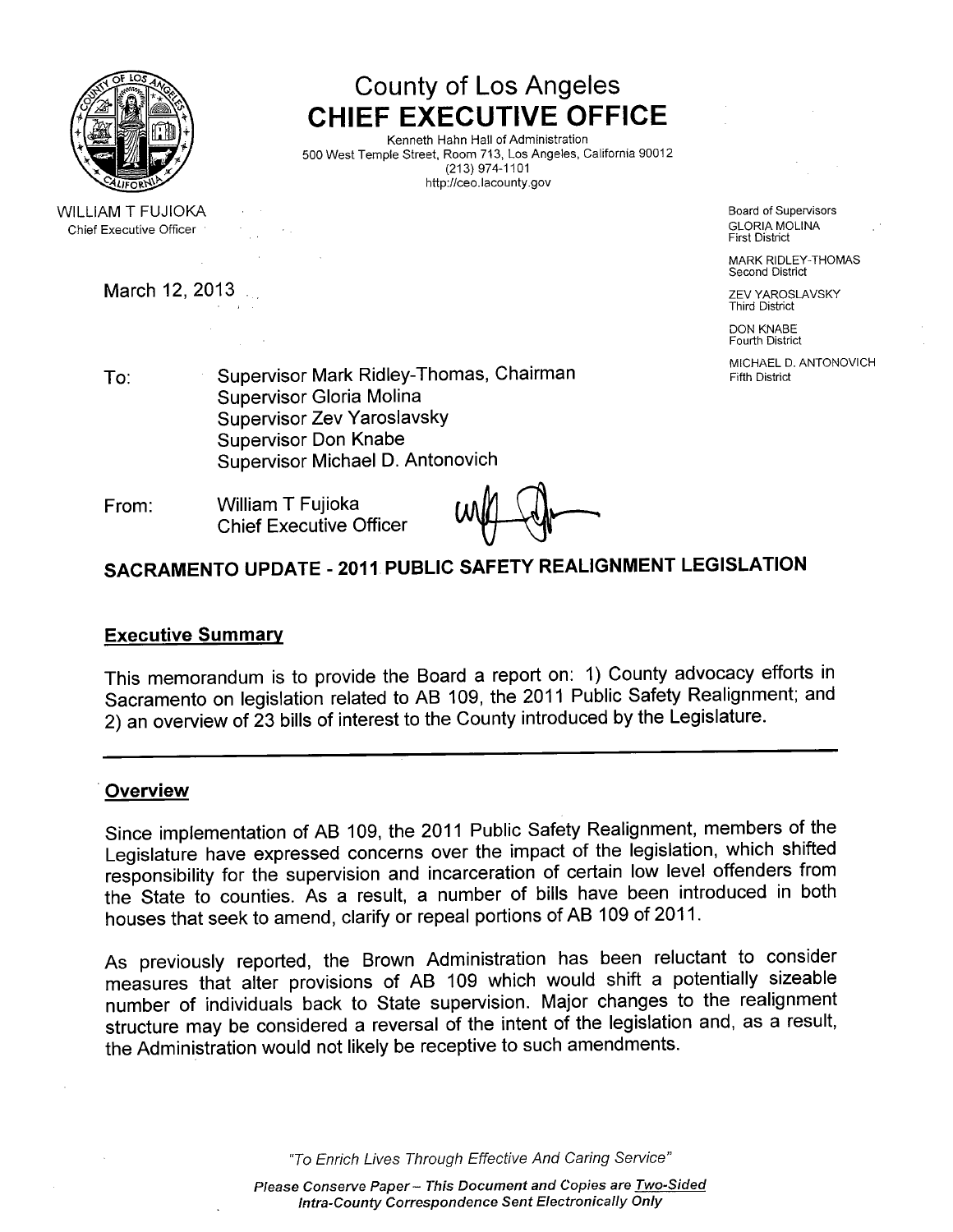

WILLIAM T FUJIOKA Chief Executive Officer

March 12, 2013 **March 12, 2013** 2. **March 12, 2013** 

County of Los Angeles CHIEF EXECUTIVE OFFICE

Kenneth Hahn Hall of Administration 500 West Temple Street, Room 713, Los Angeles, California 90012 (213) 974-1101 http://ceo.lacounty.gov

> Board of Supervisors GLORIA MOLINA First District

MARK RIDLEY-THOMAS Second District

Third District

DON KNABE Fourth District

MICHAEL D. ANTONOVICH Fifth District

To: Supervisor Mark Ridley-Thomas, Chairman Supervisor Gloria Molina Supervisor Zev Yaroslavsky Supervisor Don Knabe Supervisor Michael D. Antonovich

From: Wiliam T Fujioka Chief Executive Officer

# SACRAMENTO UPDATE - 2011 PUBLIC SAFETY REALIGNMENT LEGISLATION

#### Executive Summary

This memorandum is to provide the Board a report on: 1) County advocacy efforts in Sacramento on legislation related to AB 109, the 2011 Public Safety Realignment; and 2) an overview of 23 bills of interest to the County introduced by the Legislature.

#### **Overview**

Since implementation of AB 109, the 2011 Public Safety Realignment, members of the Legislature have expressed concerns over the impact of the legislation, which shifted responsibility for the supervision and incarceration of certain low level offenders from the State to counties. As a result, a number of bills have been introduced in both houses that seek to amend, clarify or repeal portions of AB 109 of 2011.

As previously reported, the Brown Administration has been reluctant to consider measures that alter provisions of AB 109 which would shift a potentially sizeable number of individuals back to State supervision. Major changes to the realignment structure may be considered a reversal of the intent of the legislation and, as a result, the Administration would not likely be receptive to such amendments.

"To Enrich Lives Through Effective And Caring Service"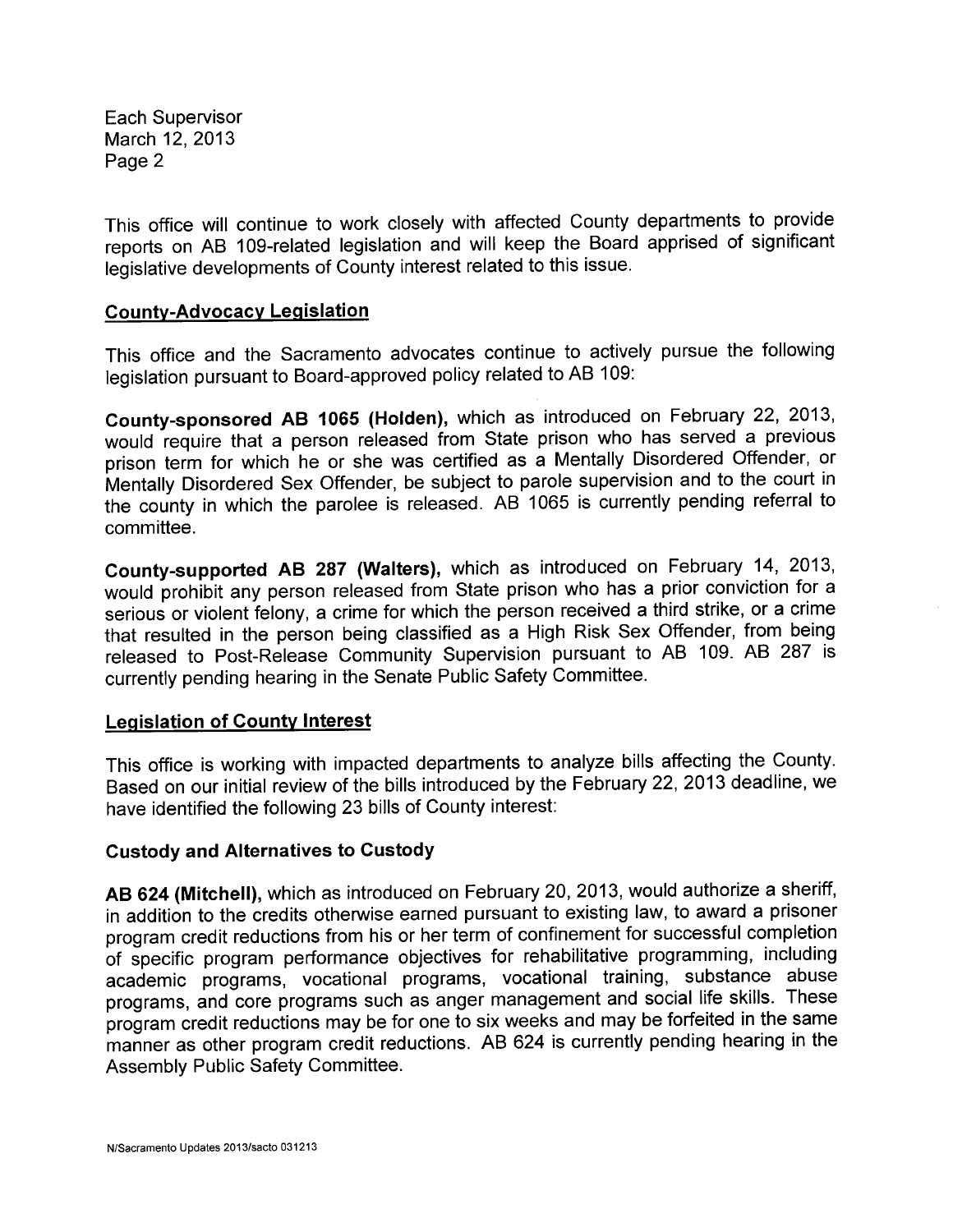This office will continue to work closely with affected County departments to provide reports on AB 109-related legislation and will keep the Board apprised of significant legislative developments of County interest related to this issue.

#### County-Advocacy Legislation

This office and the Sacramento advocates continue to actively pursue the following legislation pursuant to Board-approved policy related to AB 109:

County-sponsored AB 1065 (Holden), which as introduced on February 22, 2013, would require that a person released from State prison who has served a previous prison term for which he or she was certified as a Mentally Disordered Offender, or Mentally Disordered Sex Offender, be subject to parole supervision and to the court in the county in which the parolee is released. AB 1065 is currently pending referral to committee.

County-supported AB 287 (Walters), which as introduced on February 14, 2013, would prohibit any person released from State prison who has a prior conviction for a serious or violent felony, a crime for which the person received a third strike, or a crime that resulted in the person being classified as a High Risk Sex Offender, from being released to Post-Release Community Supervision pursuant to AB 109. AB 287 is currently pending hearing in the Senate Public Safety Committee.

## Legislation of County Interest

This office is working with impacted departments to analyze bills affecting the County. Based on our initial review of the bills introduced by the February 22,2013 deadline, we have identified the following 23 bills of County interest:

#### Custody and Alternatives to Custody

AB 624 (Mitchell), which as introduced on February 20, 2013, would authorize a sheriff, in addition to the credits otherwise earned pursuant to existing law, to award a prisoner program credit reductions from his or her term of confinement for successful completion of specific program performance objectives for rehabilitative programming, including academic programs, vocational programs, vocational training, substance abuse programs, and core programs such as anger management and social life skills. These program credit reductions may be for one to six weeks and may be forfeited in the same manner as other program credit reductions. AB 624 is currently pending hearing in the Assembly Public Safety Committee.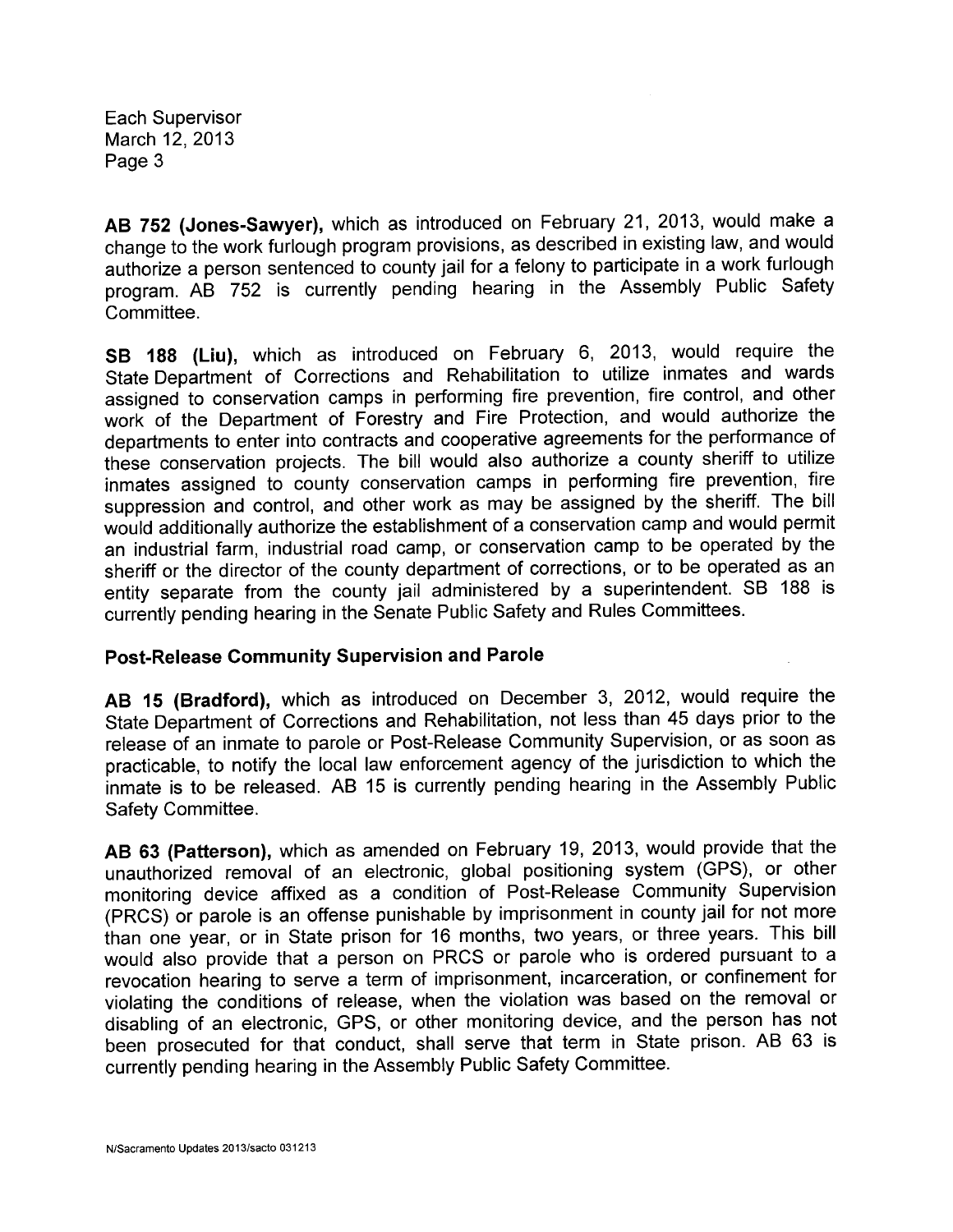AB 752 (Jones-Sawyer), which as introduced on February 21, 2013, would make a change to the work furlough program provisions, as described in existing law, and would authorize a person sentenced to county jail for a felony to participate in a work furlough program. AB 752 is currently pending hearing in the Assembly Public Safety Committee.

SB 188 (Liu), which as introduced on February 6, 2013, would require the State Department of Corrections and Rehabilitation to utilize inmates and wards assigned to conservation camps in performing fire prevention, fire control, and other work of the Department of Forestry and Fire Protection, and would authorize the departments to enter into contracts and cooperative agreements for the performance of these conservation projects. The bill would also authorize a county sheriff to utilize inmates assigned to county conservation camps in performing fire prevention, fire suppression and control, and other work as may be assigned by the sheriff. The bill would additionally authorize the establishment of a conservation camp and would permit an industrial farm, industrial road camp, or conservation camp to be operated by the sheriff or the director of the county department of corrections, or to be operated as an entity separate from the county jail administered by a superintendent. SB 188 is currently pending hearing in the Senate Public Safety and Rules Committees.

## Post-Release Community Supervision and Parole

AB 15 (Bradford), which as introduced on December 3, 2012, would require the State Department of Corrections and Rehabilitation, not less than 45 days prior to the release of an inmate to parole or Post-Release Community Supervision, or as soon as practicable, to notify the local law enforcement agency of the jurisdiction to which the inmate is to be released. AB 15 is currently pending hearing in the Assembly Public Safety Committee.

AB 63 (Patterson), which as amended on February 19, 2013, would provide that the unauthorized removal of an electronic, global positioning system (GPS), or other monitoring device affixed as a condition of Post-Release Community Supervision (PRCS) or parole is an offense punishable by imprisonment in county jail for not more than one year, or in State prison for 16 months, two years, or three years. This bill would also provide that a person on PRCS or parole who is ordered pursuant to a revocation hearing to serve a term of imprisonment, incarceration, or confinement for violating the conditions of release, when the violation was based on the removal or disabling of an electronic, GPS, or other monitoring device, and the person has not been prosecuted for that conduct, shall serve that term in State prison. AB 63 is currently pending hearing in the Assembly Public Safety Committee.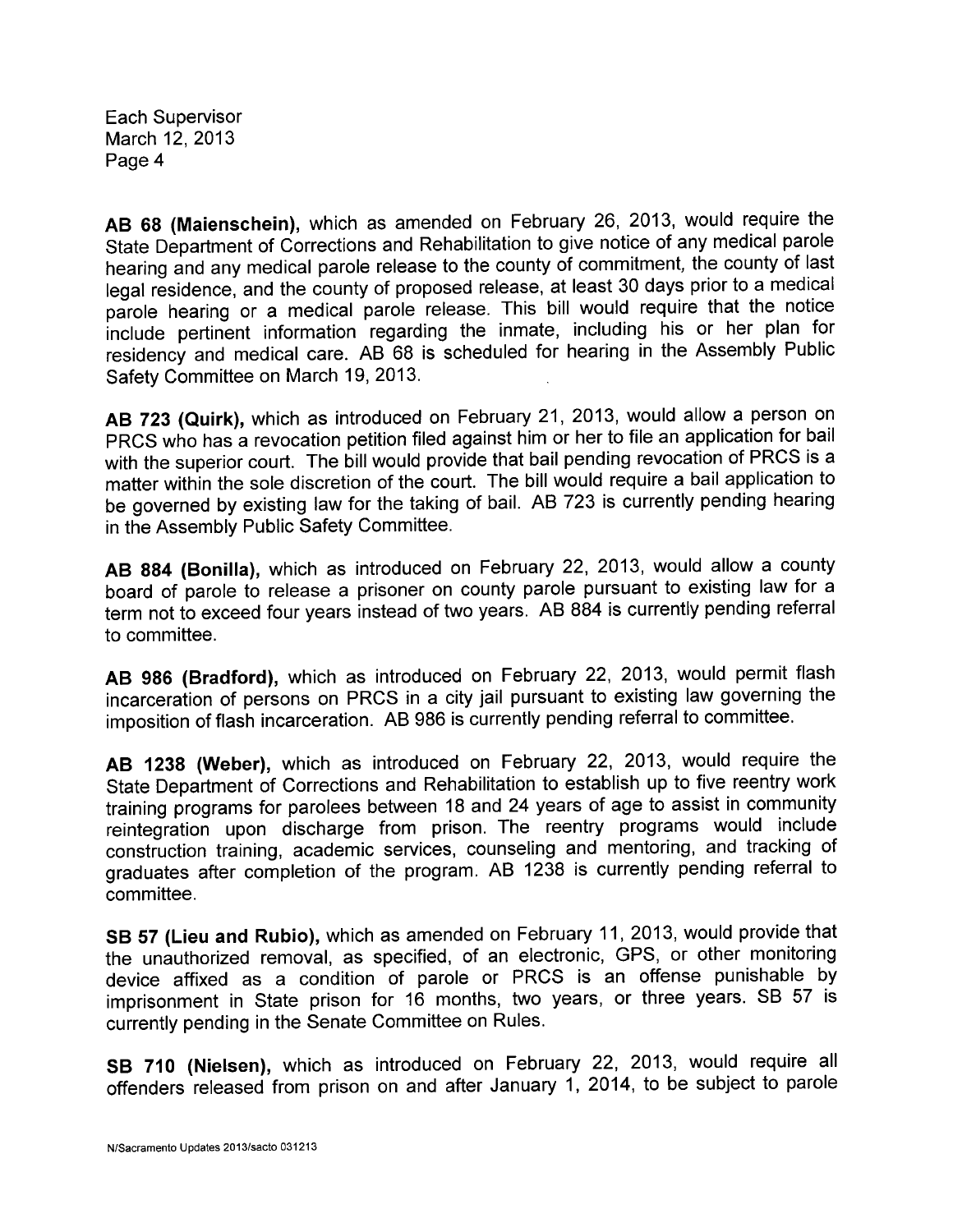AB 68 (Maienschein), which as amended on February 26, 2013, would require the State Department of Corrections and Rehabilitation to give notice of any medical parole hearing and any medical parole release to the county of commitment, the county of last legal residence, and the county of proposed release, at least 30 days prior to a medical parole hearing or a medical parole release. This bill would require that the notice include pertinent information regarding the inmate, including his or her plan for residency and medical care. AB 68 is scheduled for hearing in the Assembly Public Safety Committee on March 19, 2013.

AB 723 (Quirk), which as introduced on February 21, 2013, would allow a person on PRCS who has a revocation petition filed against him or her to file an application for bail with the superior court. The bill would provide that bail pending revocation of PRCS is a matter within the sole discretion of the court. The bill would require a bail application to be governed by existing law for the taking of baiL. AS 723 is currently pending hearing in the Assembly Public Safety Committee.

AB 884 (Bonila), which as introduced on February 22, 2013, would allow a county board of parole to release a prisoner on county parole pursuant to existing law for a term not to exceed four years instead of two years. AS 884 is currently pending referral to committee.

AB 986 (Bradford), which as introduced on February 22, 2013, would permit flash incarceration of persons on PRCS in a city jail pursuant to existing law governing the imposition of flash incarceration. AS 986 is currently pending referral to committee.

AB 1238 (Weber), which as introduced on February 22, 2013, would require the State Department of Corrections and Rehabilitation to establish up to five reentry work training programs for parolees between 18 and 24 years of age to assist in community reintegration upon discharge from prison. The reentry programs would include construction training, academic services, counseling and mentoring, and tracking of graduates after completion of the program. AS 1238 is currently pending referral to committee.

SB 57 (Lieu and Rubio), which as amended on February 11, 2013, would provide that the unauthorized removal, as specified, of an electronic, GPS, or other monitoring device affixed as a condition of parole or PRCS is an offense punishable by imprisonment in State prison for 16 months, two years, or three years. SB 57 is currently pending in the Senate Committee on Rules.

SB 710 (Nielsen), which as introduced on February 22, 2013, would require all offenders released from prison on and after January 1, 2014, to be subject to parole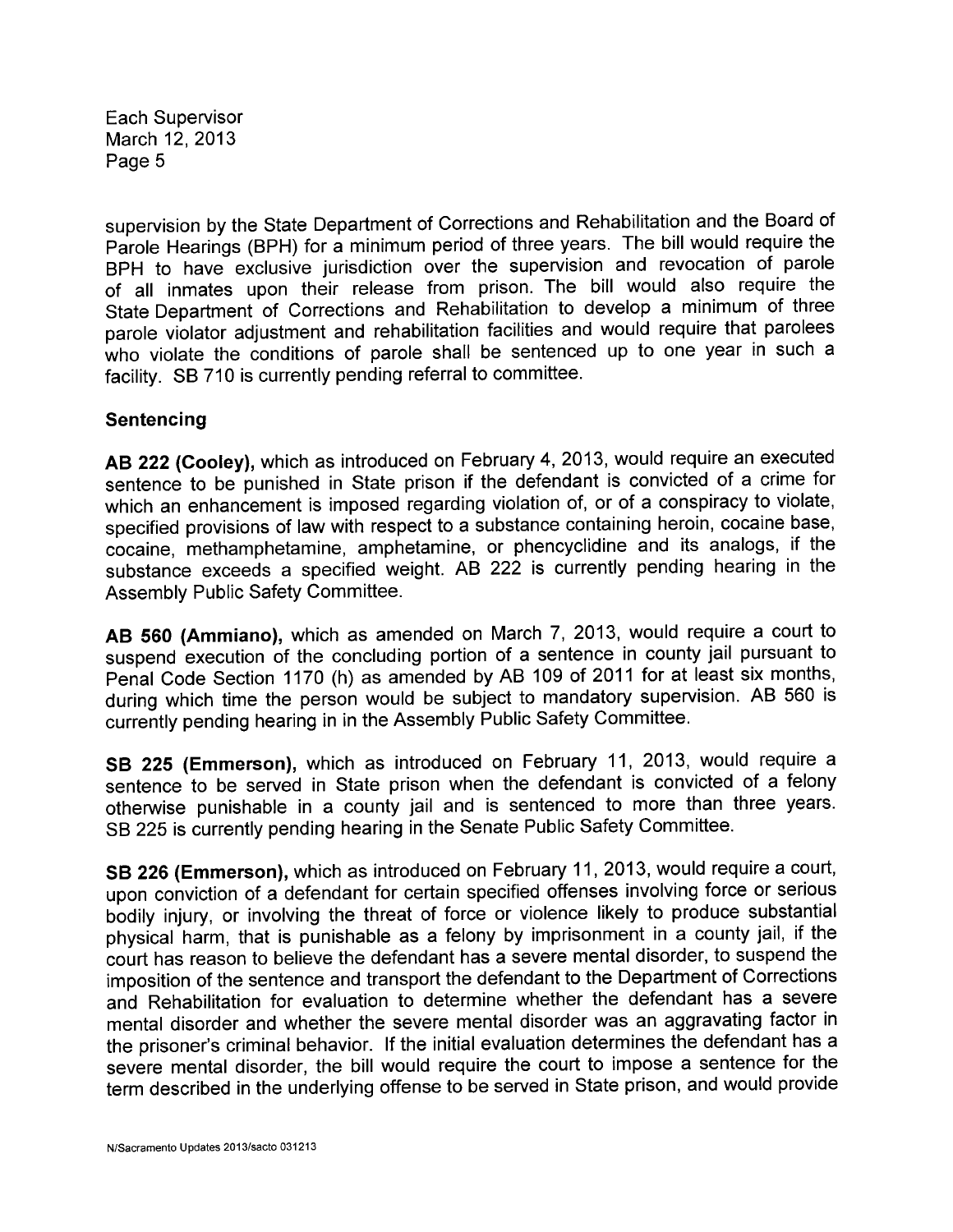supervision by the State Department of Corrections and Rehabilitation and the Soard of Parole Hearings (SPH) for a minimum period of three years. The bill would require the BPH to have exclusive jurisdiction over the supervision and revocation of parole of all inmates upon their release from prison. The bill would also require the State Department of Corrections and Rehabilitation to develop a minimum of three parole violator adjustment and rehabilitation facilities and would require that parolees who violate the conditions of parole shall be sentenced up to one year in such a facility. SB 710 is currently pending referral to committee.

## Sentencing

AB 222 (Cooley), which as introduced on February 4, 2013, would require an executed sentence to be punished in State prison if the defendant is convicted of a crime for which an enhancement is imposed regarding violation of, or of a conspiracy to violate, specified provisions of law with respect to a substance containing heroin, cocaine base, cocaine, methamphetamine, amphetamine, or phencyclidine and its analogs, if the substance exceeds a specified weight. AB 222 is currently pending hearing in the Assembly Public Safety Committee.

AB 560 (Ammiano), which as amended on March 7, 2013, would require a court to suspend execution of the concluding portion of a sentence in county jail pursuant to Penal Code Section 1170 (h) as amended by AB 109 of 2011 for at least six months, during which time the person would be subject to mandatory supervision. AS 560 is currently pending hearing in in the Assembly Public Safety Committee.

SB 225 (Emmerson), which as introduced on February 11, 2013, would require a sentence to be served in State prison when the defendant is convicted of a felony otherwise punishable in a county jail and is sentenced to more than three years. SS 225 is currently pending hearing in the Senate Public Safety Committee.

SB 226 (Emmerson), which as introduced on February 11, 2013, would require a court, upon conviction of a defendant for certain specified offenses involving force or serious bodily injury, or involving the threat of force or violence likely to produce substantial physical harm, that is punishable as a felony by imprisonment in a county jail, if the court has reason to believe the defendant has a severe mental disorder, to suspend the imposition of the sentence and transport the defendant to the Department of Corrections and Rehabilitation for evaluation to determine whether the defendant has a severe mental disorder and whether the severe mental disorder was an aggravating factor in the prisoner's criminal behavior. If the initial evaluation determines the defendant has a severe mental disorder, the bill would require the court to impose a sentence for the term described in the underlying offense to be served in State prison, and would provide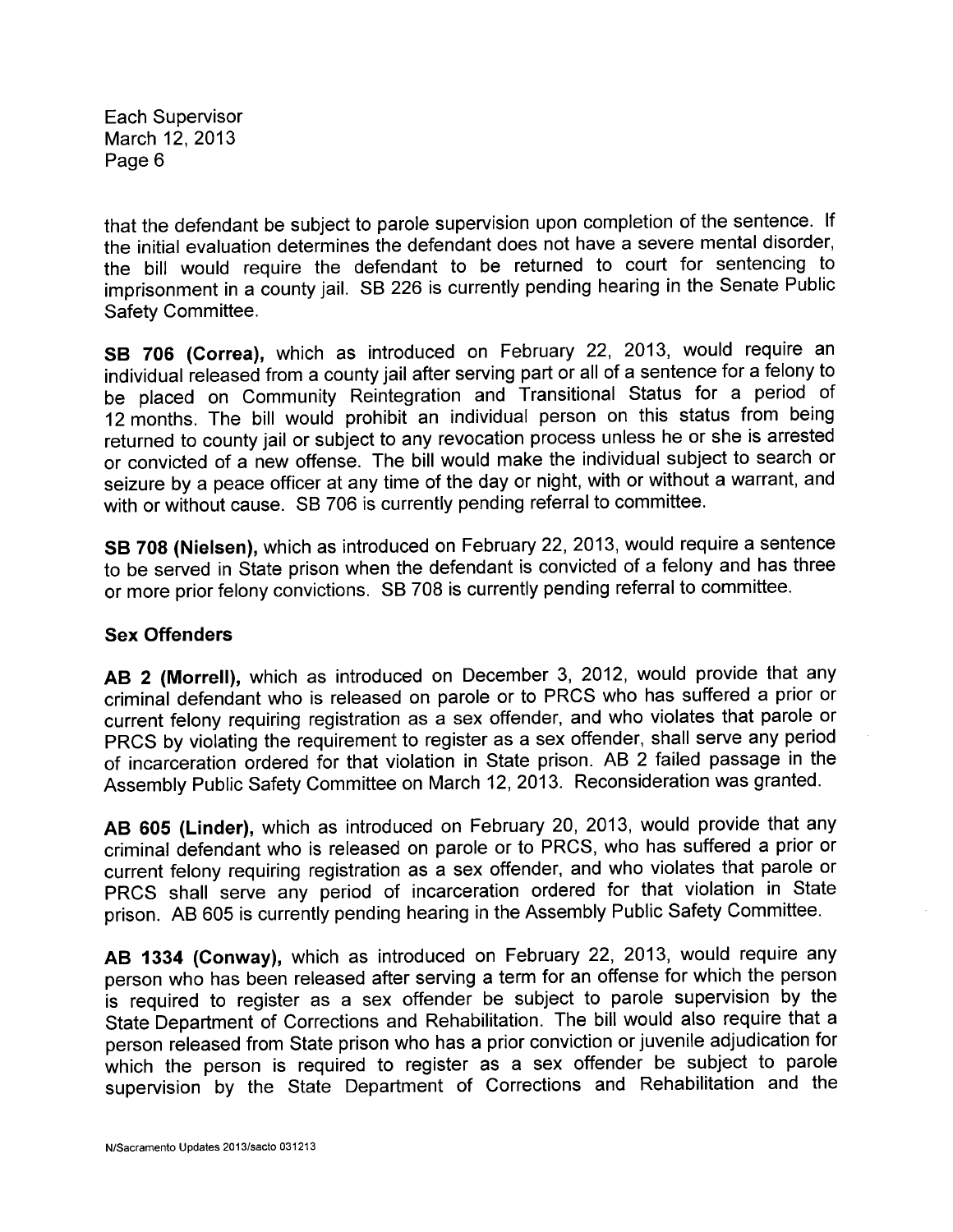that the defendant be subject to parole supervision upon completion of the sentence. If the initial evaluation determines the defendant does not have a severe mental disorder, the bill would require the defendant to be returned to court for sentencing to imprisonment in a county jail. SB 226 is currently pending hearing in the Senate Public Safety Committee.

SB 706 (Correa), which as introduced on February 22, 2013, would require an individual released from a county jail after serving part or all of a sentence for a felony to be placed on Community Reintegration and Transitional Status for a period of 12 months. The bill would prohibit an individual person on this status from being returned to county jail or subject to any revocation process unless he or she is arrested or convicted of a new offense. The bill would make the individual subject to search or seizure by a peace officer at any time of the day or night, with or without a warrant, and with or without cause. SB 706 is currently pending referral to committee.

SB 708 (Nielsen), which as introduced on February 22, 2013, would require a sentence to be served in State prison when the defendant is convicted of a felony and has three or more prior felony convictions. SB 708 is currently pending referral to committee.

## Sex Offenders

AB 2 (Morrell), which as introduced on December 3, 2012, would provide that any criminal defendant who is released on parole or to PRCS who has suffered a prior or current felony requiring registration as a sex offender, and who violates that parole or PRCS by violating the requirement to register as a sex offender, shall serve any period of incarceration ordered for that violation in State prison. AB 2 failed passage in the Assembly Public Safety Committee on March 12,2013. Reconsideration was granted.

AB 605 (Linder), which as introduced on February 20, 2013, would provide that any criminal defendant who is released on parole or to PRCS, who has suffered a prior or current felony requiring registration as a sex offender, and who violates that parole or PRCS shall serve any period of incarceration ordered for that violation in State prison. AB 605 is currently pending hearing in the Assembly Public Safety Committee.

AB 1334 (Conway), which as introduced on February 22, 2013, would require any person who has been released after serving a term for an offense for which the person is required to register as a sex offender be subject to parole supervision by the State Department of Corrections and Rehabilitation. The bill would also require that a person released from State prison who has a prior conviction or juvenile adjudication for which the person is required to register as a sex offender be subject to parole supervision by the State Department of Corrections and Rehabilitation and the